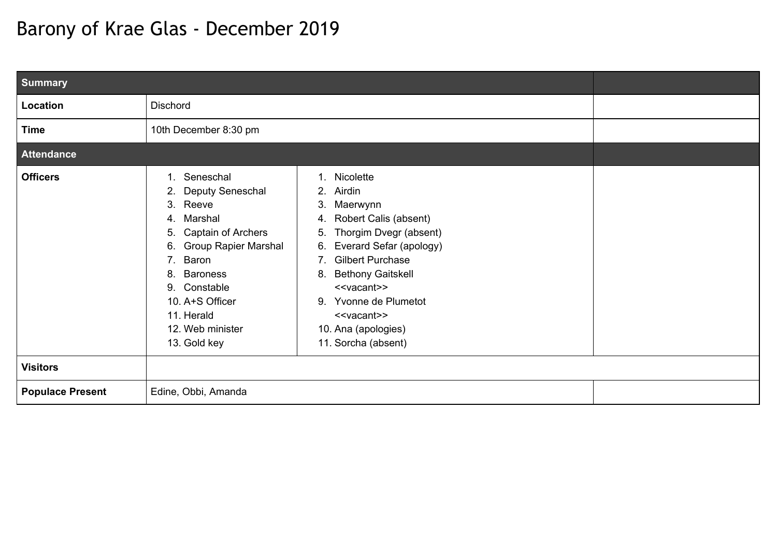## Barony of Krae Glas - December 2019

| <b>Summary</b>          |                                                                                                                                                                                                                                                                            |                                                                                                                                                                                                                                                                                                                                                          |  |  |
|-------------------------|----------------------------------------------------------------------------------------------------------------------------------------------------------------------------------------------------------------------------------------------------------------------------|----------------------------------------------------------------------------------------------------------------------------------------------------------------------------------------------------------------------------------------------------------------------------------------------------------------------------------------------------------|--|--|
| Location                | <b>Dischord</b>                                                                                                                                                                                                                                                            |                                                                                                                                                                                                                                                                                                                                                          |  |  |
| <b>Time</b>             | 10th December 8:30 pm                                                                                                                                                                                                                                                      |                                                                                                                                                                                                                                                                                                                                                          |  |  |
| <b>Attendance</b>       |                                                                                                                                                                                                                                                                            |                                                                                                                                                                                                                                                                                                                                                          |  |  |
| <b>Officers</b>         | Seneschal<br>1.<br>Deputy Seneschal<br>2.<br>Reeve<br>3.<br>Marshal<br>4.<br>Captain of Archers<br>5.<br><b>Group Rapier Marshal</b><br>6.<br>Baron<br>7.<br><b>Baroness</b><br>8.<br>Constable<br>9.<br>10. A+S Officer<br>11. Herald<br>12. Web minister<br>13. Gold key | 1. Nicolette<br>Airdin<br>2.<br>3.<br>Maerwynn<br>Robert Calis (absent)<br>4.<br>Thorgim Dvegr (absent)<br>5.<br>Everard Sefar (apology)<br>6.<br><b>Gilbert Purchase</b><br>7.<br><b>Bethony Gaitskell</b><br>8.<br>< <vacant>&gt;<br/>Yvonne de Plumetot<br/>9.<br/>&lt;<vacant>&gt;<br/>10. Ana (apologies)<br/>11. Sorcha (absent)</vacant></vacant> |  |  |
| <b>Visitors</b>         |                                                                                                                                                                                                                                                                            |                                                                                                                                                                                                                                                                                                                                                          |  |  |
| <b>Populace Present</b> | Edine, Obbi, Amanda                                                                                                                                                                                                                                                        |                                                                                                                                                                                                                                                                                                                                                          |  |  |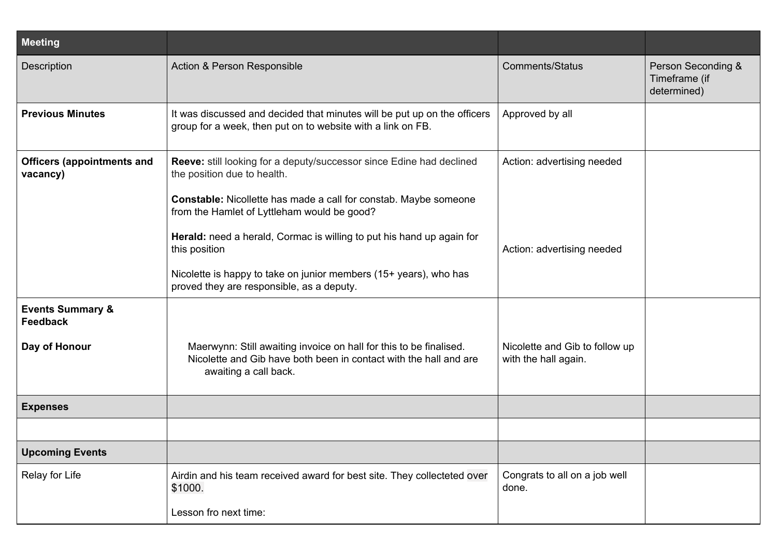| <b>Meeting</b>                                |                                                                                                                                                                  |                                                        |                                                    |
|-----------------------------------------------|------------------------------------------------------------------------------------------------------------------------------------------------------------------|--------------------------------------------------------|----------------------------------------------------|
| Description                                   | Action & Person Responsible                                                                                                                                      | <b>Comments/Status</b>                                 | Person Seconding &<br>Timeframe (if<br>determined) |
| <b>Previous Minutes</b>                       | It was discussed and decided that minutes will be put up on the officers<br>group for a week, then put on to website with a link on FB.                          | Approved by all                                        |                                                    |
| <b>Officers (appointments and</b><br>vacancy) | Reeve: still looking for a deputy/successor since Edine had declined<br>the position due to health.                                                              | Action: advertising needed                             |                                                    |
|                                               | Constable: Nicollette has made a call for constab. Maybe someone<br>from the Hamlet of Lyttleham would be good?                                                  |                                                        |                                                    |
|                                               | Herald: need a herald, Cormac is willing to put his hand up again for<br>this position                                                                           | Action: advertising needed                             |                                                    |
|                                               | Nicolette is happy to take on junior members (15+ years), who has<br>proved they are responsible, as a deputy.                                                   |                                                        |                                                    |
| <b>Events Summary &amp;</b><br>Feedback       |                                                                                                                                                                  |                                                        |                                                    |
| Day of Honour                                 | Maerwynn: Still awaiting invoice on hall for this to be finalised.<br>Nicolette and Gib have both been in contact with the hall and are<br>awaiting a call back. | Nicolette and Gib to follow up<br>with the hall again. |                                                    |
| <b>Expenses</b>                               |                                                                                                                                                                  |                                                        |                                                    |
|                                               |                                                                                                                                                                  |                                                        |                                                    |
| <b>Upcoming Events</b>                        |                                                                                                                                                                  |                                                        |                                                    |
| Relay for Life                                | Airdin and his team received award for best site. They collecteted over<br>\$1000.                                                                               | Congrats to all on a job well<br>done.                 |                                                    |
|                                               | Lesson fro next time:                                                                                                                                            |                                                        |                                                    |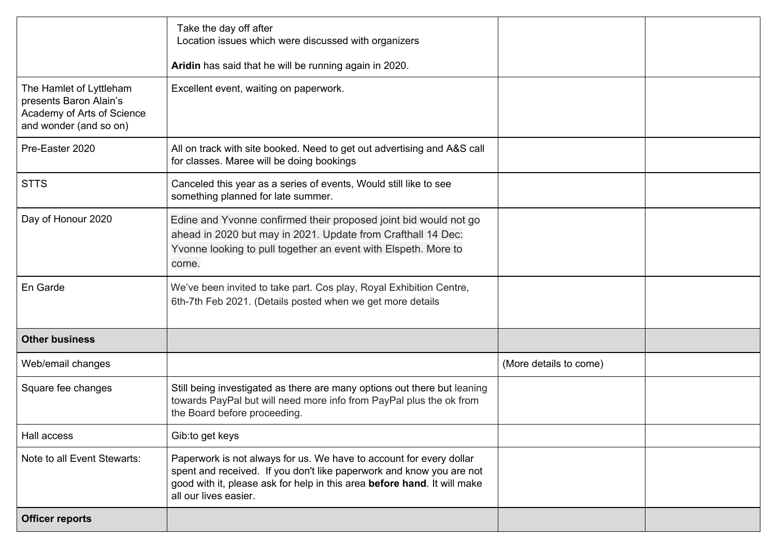|                                                                                                           | Take the day off after<br>Location issues which were discussed with organizers                                                                                                                                                                   |                        |  |
|-----------------------------------------------------------------------------------------------------------|--------------------------------------------------------------------------------------------------------------------------------------------------------------------------------------------------------------------------------------------------|------------------------|--|
|                                                                                                           | Aridin has said that he will be running again in 2020.                                                                                                                                                                                           |                        |  |
| The Hamlet of Lyttleham<br>presents Baron Alain's<br>Academy of Arts of Science<br>and wonder (and so on) | Excellent event, waiting on paperwork.                                                                                                                                                                                                           |                        |  |
| Pre-Easter 2020                                                                                           | All on track with site booked. Need to get out advertising and A&S call<br>for classes. Maree will be doing bookings                                                                                                                             |                        |  |
| <b>STTS</b>                                                                                               | Canceled this year as a series of events, Would still like to see<br>something planned for late summer.                                                                                                                                          |                        |  |
| Day of Honour 2020                                                                                        | Edine and Yvonne confirmed their proposed joint bid would not go<br>ahead in 2020 but may in 2021. Update from Crafthall 14 Dec:<br>Yvonne looking to pull together an event with Elspeth. More to<br>come.                                      |                        |  |
| En Garde                                                                                                  | We've been invited to take part. Cos play, Royal Exhibition Centre,<br>6th-7th Feb 2021. (Details posted when we get more details                                                                                                                |                        |  |
| <b>Other business</b>                                                                                     |                                                                                                                                                                                                                                                  |                        |  |
| Web/email changes                                                                                         |                                                                                                                                                                                                                                                  | (More details to come) |  |
| Square fee changes                                                                                        | Still being investigated as there are many options out there but leaning<br>towards PayPal but will need more info from PayPal plus the ok from<br>the Board before proceeding.                                                                  |                        |  |
| Hall access                                                                                               | Gib: to get keys                                                                                                                                                                                                                                 |                        |  |
| Note to all Event Stewarts:                                                                               | Paperwork is not always for us. We have to account for every dollar<br>spent and received. If you don't like paperwork and know you are not<br>good with it, please ask for help in this area before hand. It will make<br>all our lives easier. |                        |  |
| <b>Officer reports</b>                                                                                    |                                                                                                                                                                                                                                                  |                        |  |